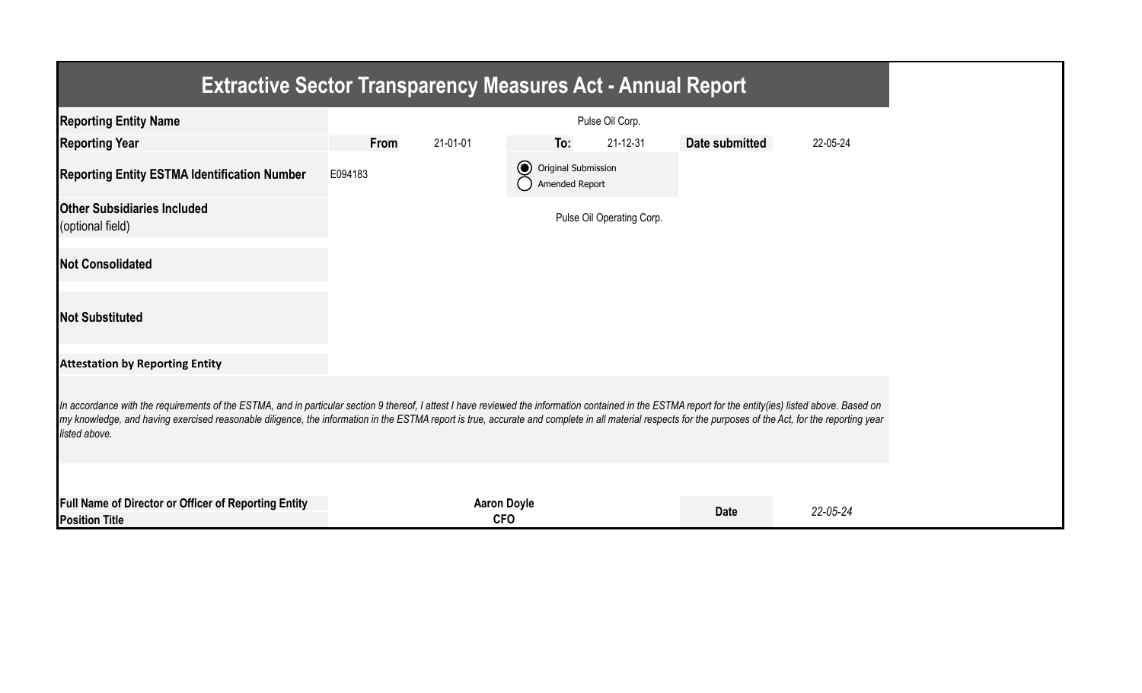| <b>Extractive Sector Transparency Measures Act - Annual Report</b>                                                                                                                                                                                                                                                                                                                                                                    |         |                                  |                                            |                           |                |          |  |  |
|---------------------------------------------------------------------------------------------------------------------------------------------------------------------------------------------------------------------------------------------------------------------------------------------------------------------------------------------------------------------------------------------------------------------------------------|---------|----------------------------------|--------------------------------------------|---------------------------|----------------|----------|--|--|
| <b>Reporting Entity Name</b>                                                                                                                                                                                                                                                                                                                                                                                                          |         |                                  |                                            | Pulse Oil Corp.           |                |          |  |  |
| <b>Reporting Year</b>                                                                                                                                                                                                                                                                                                                                                                                                                 | From    | 21-01-01                         | To:                                        | 21-12-31                  | Date submitted | 22-05-24 |  |  |
| <b>Reporting Entity ESTMA Identification Number</b>                                                                                                                                                                                                                                                                                                                                                                                   | E094183 |                                  | O Original Submission<br>() Amended Report |                           |                |          |  |  |
| <b>Other Subsidiaries Included</b><br>(optional field)                                                                                                                                                                                                                                                                                                                                                                                |         |                                  |                                            | Pulse Oil Operating Corp. |                |          |  |  |
| <b>Not Consolidated</b>                                                                                                                                                                                                                                                                                                                                                                                                               |         |                                  |                                            |                           |                |          |  |  |
| <b>Not Substituted</b>                                                                                                                                                                                                                                                                                                                                                                                                                |         |                                  |                                            |                           |                |          |  |  |
| <b>Attestation by Reporting Entity</b>                                                                                                                                                                                                                                                                                                                                                                                                |         |                                  |                                            |                           |                |          |  |  |
| In accordance with the requirements of the ESTMA, and in particular section 9 thereof, I attest I have reviewed the information contained in the ESTMA report for the entity(ies) listed above. Based on<br>my knowledge, and having exercised reasonable diligence, the information in the ESTMA report is true, accurate and complete in all material respects for the purposes of the Act, for the reporting year<br>listed above. |         |                                  |                                            |                           |                |          |  |  |
| Full Name of Director or Officer of Reporting Entity<br><b>Position Title</b>                                                                                                                                                                                                                                                                                                                                                         |         | <b>Aaron Doyle</b><br><b>CFO</b> |                                            |                           | <b>Date</b>    | 22-05-24 |  |  |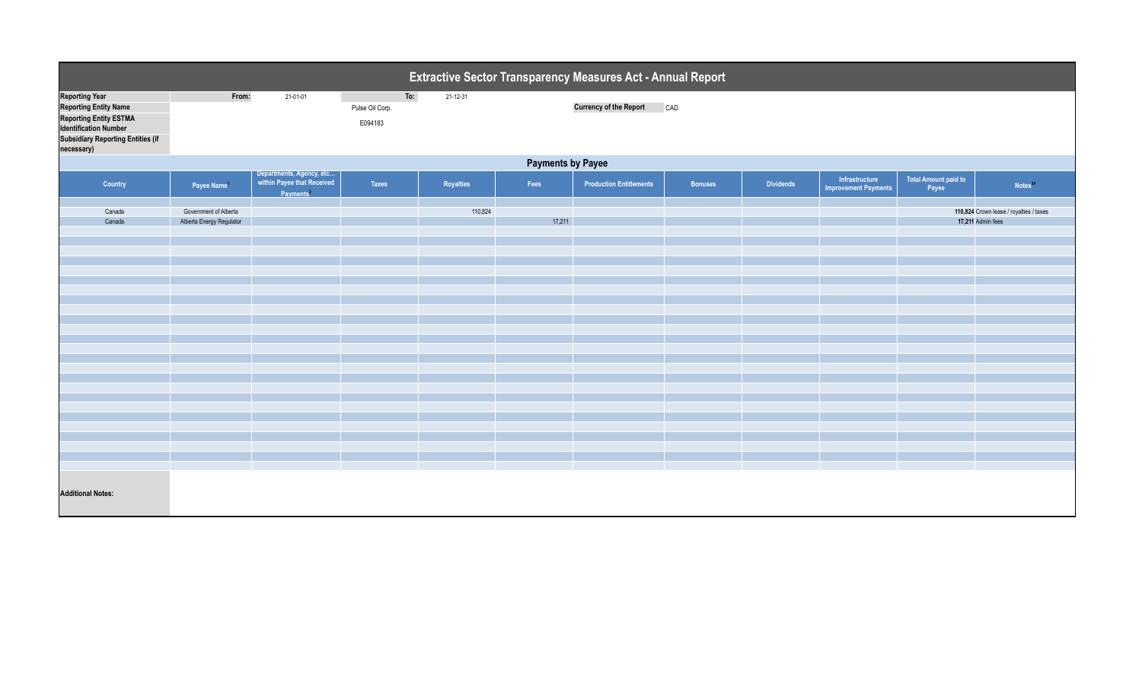| Extractive Sector Transparency Measures Act - Annual Report                                                                                                                      |                                                   |                                                                                 |                                   |           |        |                                |                |                  |                                               |                                      |                                                              |  |
|----------------------------------------------------------------------------------------------------------------------------------------------------------------------------------|---------------------------------------------------|---------------------------------------------------------------------------------|-----------------------------------|-----------|--------|--------------------------------|----------------|------------------|-----------------------------------------------|--------------------------------------|--------------------------------------------------------------|--|
| <b>Reporting Year</b><br><b>Reporting Entity Name</b><br><b>Reporting Entity ESTMA</b><br><b>Identification Number</b><br><b>Subsidiary Reporting Entities (if</b><br>necessary) | From:                                             | 21-01-01                                                                        | To:<br>Pulse Oil Corp.<br>E094183 | 21-12-31  |        | <b>Currency of the Report</b>  | CAD            |                  |                                               |                                      |                                                              |  |
| <b>Payments by Payee</b>                                                                                                                                                         |                                                   |                                                                                 |                                   |           |        |                                |                |                  |                                               |                                      |                                                              |  |
| Country                                                                                                                                                                          | Payee Name                                        | Departments, Agency, etc<br>within Payee that Received<br>Payments <sup>2</sup> | Taxes                             | Royalties | Fees   | <b>Production Entitlements</b> | <b>Bonuses</b> | <b>Dividends</b> | Infrastructure<br><b>Improvement Payments</b> | <b>Total Amount paid to</b><br>Payee | Notes <sup>34</sup>                                          |  |
| Canada<br>Canada                                                                                                                                                                 | Government of Alberta<br>Alberta Energy Regulator |                                                                                 |                                   | 110,824   | 17,211 |                                |                |                  |                                               |                                      | 110,824 Crown lease / royalties / taxes<br>17,211 Admin fees |  |
| <b>Additional Notes:</b>                                                                                                                                                         |                                                   |                                                                                 |                                   |           |        |                                |                |                  |                                               |                                      |                                                              |  |